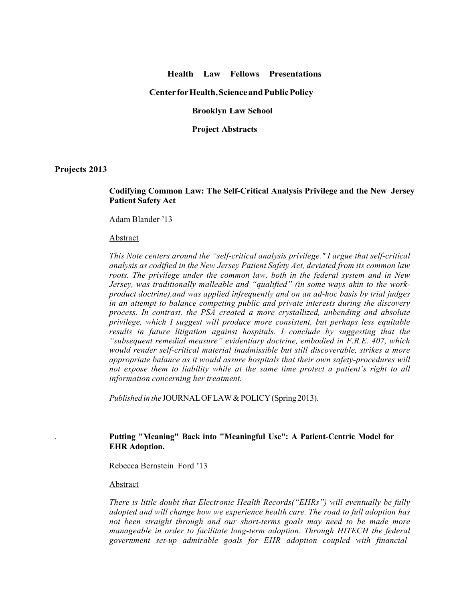#### **Health Law Fellows Presentations**

#### **CenterforHealth,ScienceandPublicPolicy**

**Brooklyn Law School**

**Project Abstracts**

**Projects 2013**

## **Codifying Common Law: The Self-Critical Analysis Privilege and the New Jersey Patient Safety Act**

Adam Blander '13

#### Abstract

*This Note centers around the "self-critical analysis privilege." I argue that self-critical analysis as codified in the New Jersey Patient Safety Act, deviated from its common law roots. The privilege under the common law, both in the federal system and in New Jersey, was traditionally malleable and "qualified" (in some ways akin to the workproduct doctrine),and was applied infrequently and on an ad-hoc basis by trial judges in an attempt to balance competing public and private interests during the discovery process. In contrast, the PSA created a more crystallized, unbending and absolute privilege, which I suggest will produce more consistent, but perhaps less equitable results in future litigation against hospitals. I conclude by suggesting that the "subsequent remedial measure" evidentiary doctrine, embodied in F.R.E. 407, which would render self-critical material inadmissible but still discoverable, strikes a more appropriate balance as it would assure hospitals that their own safety-procedures will not expose them to liability while at the same time protect a patient's right to all information concerning her treatment.*

*Published in the* JOURNALOFLAW&POLICY(Spring 2013).

# . **Putting "Meaning" Back into "Meaningful Use": A Patient-Centric Model for EHR Adoption.**

Rebecca Bernstein Ford '13

#### Abstract

*There is little doubt that Electronic Health Records("EHRs") will eventually be fully adopted and will change how we experience health care. The road to full adoption has not been straight through and our short-terms goals may need to be made more manageable in order to facilitate long-term adoption. Through HITECH the federal government set-up admirable goals for EHR adoption coupled with financial*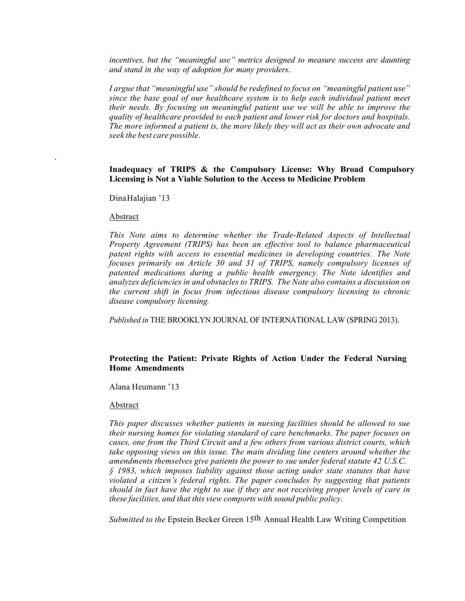*incentives, but the "meaningful use" metrics designed to measure success are daunting and stand in the way of adoption for many providers.*

*I argue that "meaningful use" should be redefined to focus on "meaningful patient use" since the base goal of our healthcare system is to help each individual patient meet their needs. By focusing on meaningful patient use we will be able to improve the quality of healthcare provided to each patient and lower risk for doctors and hospitals. The more informed a patient is, the more likely they will act as their own advocate and seek the best care possible.*

### **Inadequacy of TRIPS & the Compulsory License: Why Broad Compulsory Licensing is Not a Viable Solution to the Access to Medicine Problem**

#### DinaHalajian '13

#### Abstract

.

*This Note aims to determine whether the Trade-Related Aspects of Intellectual Property Agreement (TRIPS) has been an effective tool to balance pharmaceutical patent rights with access to essential medicines in developing countries. The Note focuses primarily on Article 30 and 31 of TRIPS, namely compulsory licenses of patented medications during a public health emergency. The Note identifies and analyzes deficiencies in and obstacles to TRIPS. The Note also contains a discussion on the current shift in focus from infectious disease compulsory licensing to chronic disease compulsory licensing.*

*Published in* THE BROOKLYN JOURNAL OF INTERNATIONAL LAW (SPRING 2013).

### **Protecting the Patient: Private Rights of Action Under the Federal Nursing Home Amendments**

Alana Heumann '13

#### Abstract

*This paper discusses whether patients in nursing facilities should be allowed to sue their nursing homes for violating standard of care benchmarks. The paper focuses on cases, one from the Third Circuit and a few others from various district courts, which take opposing views on this issue. The main dividing line centers around whether the amendments themselves give patients the power to sue under federal statute 42 U.S.C. § 1983, which imposes liability against those acting under state statutes that have violated a citizen's federal rights. The paper concludes by suggesting that patients should in fact have the right to sue if they are not receiving proper levels of care in these facilities, and that this view comports with sound public policy.*

*Submitted to the* Epstein Becker Green 15th Annual Health Law Writing Competition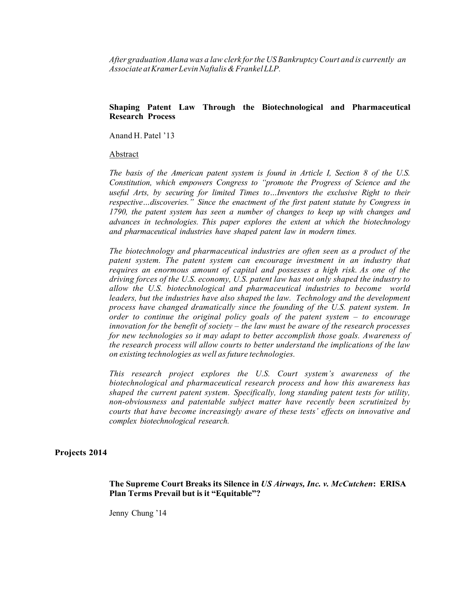*After graduation Alana was a law clerk forthe US Bankruptcy Court and is currently an Associate atKramerLevinNaftalis& FrankelLLP.*

# **Shaping Patent Law Through the Biotechnological and Pharmaceutical Research Process**

Anand H. Patel '13

#### Abstract

*The basis of the American patent system is found in Article I, Section 8 of the U.S. Constitution, which empowers Congress to "promote the Progress of Science and the useful Arts, by securing for limited Times to…Inventors the exclusive Right to their respective…discoveries." Since the enactment of the first patent statute by Congress in 1790, the patent system has seen a number of changes to keep up with changes and advances in technologies. This paper explores the extent at which the biotechnology and pharmaceutical industries have shaped patent law in modern times.*

*The biotechnology and pharmaceutical industries are often seen as a product of the patent system. The patent system can encourage investment in an industry that requires an enormous amount of capital and possesses a high risk. As one of the driving forces of the U.S. economy, U.S. patent law has not only shaped the industry to allow the U.S. biotechnological and pharmaceutical industries to become world leaders, but the industries have also shaped the law. Technology and the development process have changed dramatically since the founding of the U.S. patent system. In order to continue the original policy goals of the patent system – to encourage innovation for the benefit of society – the law must be aware of the research processes for new technologies so it may adapt to better accomplish those goals. Awareness of the research process will allow courts to better understand the implications of the law on existing technologies as well asfuture technologies.*

*This research project explores the U.S. Court system's awareness of the biotechnological and pharmaceutical research process and how this awareness has shaped the current patent system. Specifically, long standing patent tests for utility, non-obviousness and patentable subject matter have recently been scrutinized by courts that have become increasingly aware of these tests' effects on innovative and complex biotechnological research.*

#### **Projects 2014**

**The Supreme Court Breaks its Silence in** *US Airways, Inc. v. McCutchen***: ERISA Plan Terms Prevail but is it "Equitable"?**

Jenny Chung '14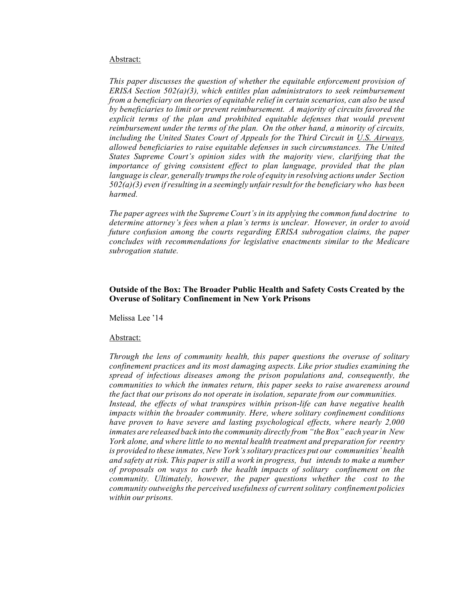#### Abstract:

*This paper discusses the question of whether the equitable enforcement provision of ERISA Section 502(a)(3), which entitles plan administrators to seek reimbursement from a beneficiary on theories of equitable relief in certain scenarios, can also be used by beneficiaries to limit or prevent reimbursement. A majority of circuits favored the explicit terms of the plan and prohibited equitable defenses that would prevent reimbursement under the terms of the plan. On the other hand, a minority of circuits, including the United States Court of Appeals for the Third Circuit in U.S. Airways, allowed beneficiaries to raise equitable defenses in such circumstances. The United States Supreme Court's opinion sides with the majority view, clarifying that the importance of giving consistent effect to plan language, provided that the plan language is clear, generally trumpsthe role of equity in resolving actions under Section 502(a)(3) even ifresulting in a seemingly unfairresult forthe beneficiary who has been harmed.*

*The paper agrees with the Supreme Court'sin its applying the common fund doctrine to determine attorney's fees when a plan's terms is unclear. However, in order to avoid future confusion among the courts regarding ERISA subrogation claims, the paper concludes with recommendations for legislative enactments similar to the Medicare subrogation statute.*

## **Outside of the Box: The Broader Public Health and Safety Costs Created by the Overuse of Solitary Confinement in New York Prisons**

Melissa Lee '14

#### Abstract:

*Through the lens of community health, this paper questions the overuse of solitary confinement practices and its most damaging aspects. Like prior studies examining the spread of infectious diseases among the prison populations and, consequently, the communities to which the inmates return, this paper seeks to raise awareness around the fact that our prisons do not operate in isolation, separate from our communities. Instead, the effects of what transpires within prison-life can have negative health impacts within the broader community. Here, where solitary confinement conditions have proven to have severe and lasting psychological effects, where nearly 2,000 inmates are released back into the community directly from "the Box" each yearin New York alone, and where little to no mental health treatment and preparation for reentry is provided to these inmates,New York'ssolitary practices put our communities' health and safety at risk. This paper is still a work in progress, but intends to make a number of proposals on ways to curb the health impacts of solitary confinement on the community. Ultimately, however, the paper questions whether the cost to the community outweighsthe perceived usefulness of currentsolitary confinement policies within our prisons.*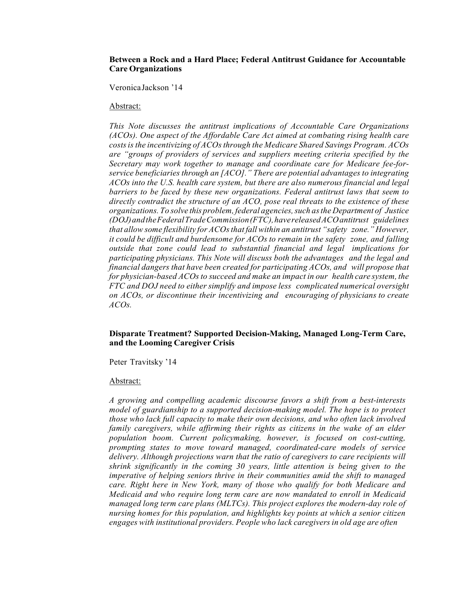## **Between a Rock and a Hard Place; Federal Antitrust Guidance for Accountable Care Organizations**

VeronicaJackson '14

#### Abstract:

*This Note discusses the antitrust implications of Accountable Care Organizations (ACOs). One aspect of the Affordable Care Act aimed at combating rising health care costsis the incentivizing of ACOsthrough the Medicare Shared Savings Program. ACOs are "groups of providers of services and suppliers meeting criteria specified by the Secretary may work together to manage and coordinate care for Medicare fee-forservice beneficiaries through an [ACO]." There are potential advantages to integrating ACOs into the U.S. health care system, but there are also numerous financial and legal barriers to be faced by these new organizations. Federal antitrust laws that seem to directly contradict the structure of an ACO, pose real threats to the existence of these organizations. To solve this problem, federal agencies,such asthe Department of Justice (DOJ)andtheFederalTradeCommission(FTC),havereleasedACOantitrust guidelines that allow some flexibility for ACOsthat fall within an antitrust "safety zone." However, it could be difficult and burdensome for ACOs to remain in the safety zone, and falling outside that zone could lead to substantial financial and legal implications for participating physicians. This Note will discuss both the advantages and the legal and financial dangers that have been created for participating ACOs, and will propose that for physician-based ACOsto succeed and make an impact in our health care system, the FTC and DOJ need to either simplify and impose less complicated numerical oversight on ACOs, or discontinue their incentivizing and encouraging of physicians to create ACOs.*

## **Disparate Treatment? Supported Decision-Making, Managed Long-Term Care, and the Looming Caregiver Crisis**

Peter Travitsky '14

#### Abstract:

*A growing and compelling academic discourse favors a shift from a best-interests model of guardianship to a supported decision-making model. The hope is to protect those who lack full capacity to make their own decisions, and who often lack involved family caregivers, while affirming their rights as citizens in the wake of an elder population boom. Current policymaking, however, is focused on cost-cutting, prompting states to move toward managed, coordinated-care models of service delivery. Although projections warn that the ratio of caregivers to care recipients will shrink significantly in the coming 30 years, little attention is being given to the imperative of helping seniors thrive in their communities amid the shift to managed care. Right here in New York, many of those who qualify for both Medicare and Medicaid and who require long term care are now mandated to enroll in Medicaid managed long term care plans (MLTCs). This project explores the modern-day role of nursing homes for this population, and highlights key points at which a senior citizen engages with institutional providers. People who lack caregivers in old age are often*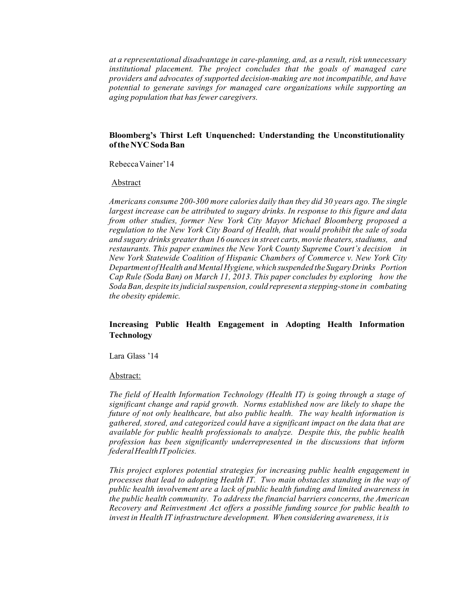*at a representational disadvantage in care-planning, and, as a result, risk unnecessary institutional placement. The project concludes that the goals of managed care providers and advocates of supported decision-making are not incompatible, and have potential to generate savings for managed care organizations while supporting an aging population that has fewer caregivers.*

# **Bloomberg's Thirst Left Unquenched: Understanding the Unconstitutionality oftheNYCSodaBan**

RebeccaVainer'14

#### Abstract

*Americans consume 200-300 more calories daily than they did 30 years ago. The single largest increase can be attributed to sugary drinks. In response to this figure and data from other studies, former New York City Mayor Michael Bloomberg proposed a regulation to the New York City Board of Health, that would prohibit the sale of soda and sugary drinks greater than 16 ouncesin street carts, movie theaters,stadiums, and restaurants. This paper examines the New York County Supreme Court's decision in New York Statewide Coalition of Hispanic Chambers of Commerce v. New York City Department of Health and MentalHygiene,which suspended the Sugary Drinks Portion Cap Rule (Soda Ban) on March 11, 2013. This paper concludes by exploring how the Soda Ban, despite itsjudicialsuspension, could represent a stepping-stone in combating the obesity epidemic.*

# **Increasing Public Health Engagement in Adopting Health Information Technology**

Lara Glass '14

#### Abstract:

*The field of Health Information Technology (Health IT) is going through a stage of significant change and rapid growth. Norms established now are likely to shape the future of not only healthcare, but also public health. The way health information is gathered, stored, and categorized could have a significant impact on the data that are available for public health professionals to analyze. Despite this, the public health profession has been significantly underrepresented in the discussions that inform federalHealth ITpolicies.*

*This project explores potential strategies for increasing public health engagement in processes that lead to adopting Health IT. Two main obstacles standing in the way of public health involvement are a lack of public health funding and limited awareness in the public health community. To address the financial barriers concerns, the American Recovery and Reinvestment Act offers a possible funding source for public health to invest in Health IT infrastructure development. When considering awareness, it is*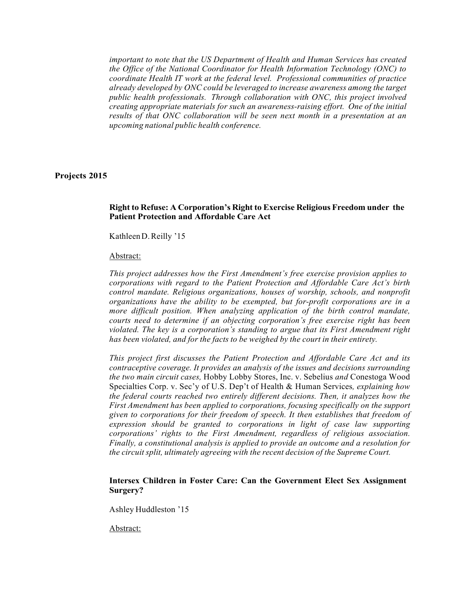*important to note that the US Department of Health and Human Services has created the Office of the National Coordinator for Health Information Technology (ONC) to coordinate Health IT work at the federal level. Professional communities of practice already developed by ONC could be leveraged to increase awareness among the target public health professionals. Through collaboration with ONC, this project involved creating appropriate materials for such an awareness-raising effort. One of the initial results of that ONC collaboration will be seen next month in a presentation at an upcoming national public health conference.*

# **Projects 2015**

# **Right to Refuse: A Corporation's Right to Exercise Religious Freedom under the Patient Protection and Affordable Care Act**

KathleenD.Reilly '15

### Abstract:

*This project addresses how the First Amendment's free exercise provision applies to corporations with regard to the Patient Protection and Affordable Care Act's birth control mandate. Religious organizations, houses of worship, schools, and nonprofit organizations have the ability to be exempted, but for-profit corporations are in a more difficult position. When analyzing application of the birth control mandate, courts need to determine if an objecting corporation's free exercise right has been violated. The key is a corporation's standing to argue that its First Amendment right has been violated, and for the facts to be weighed by the court in their entirety.*

*This project first discusses the Patient Protection and Affordable Care Act and its contraceptive coverage. It provides an analysis of the issues and decisions surrounding the two main circuit cases,* Hobby Lobby Stores, Inc. v. Sebelius *and* Conestoga Wood Specialties Corp. v. Sec'y of U.S. Dep't of Health & Human Services*, explaining how the federal courts reached two entirely different decisions. Then, it analyzes how the First Amendment has been applied to corporations, focusing specifically on the support given to corporations for their freedom of speech. It then establishes that freedom of expression should be granted to corporations in light of case law supporting corporations' rights to the First Amendment, regardless of religious association. Finally, a constitutional analysis is applied to provide an outcome and a resolution for the circuit split, ultimately agreeing with the recent decision of the Supreme Court.*

### **Intersex Children in Foster Care: Can the Government Elect Sex Assignment Surgery?**

Ashley Huddleston '15

Abstract: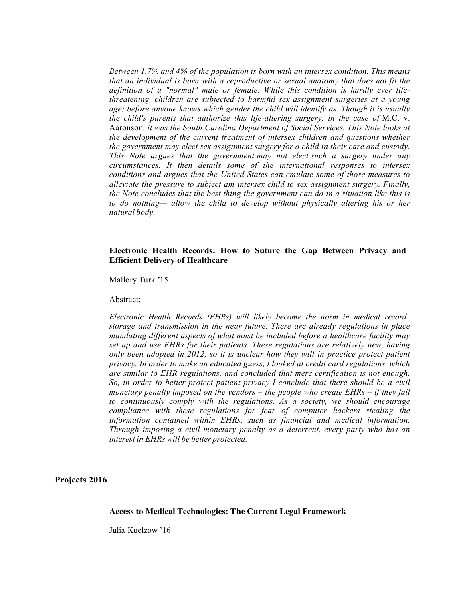*Between 1.7% and 4% of the population is born with an intersex condition. This means that an individual is born with a reproductive or sexual anatomy that does not fit the definition of a "normal" male or female. While this condition is hardly ever lifethreatening, children are subjected to harmful sex assignment surgeries at a young age; before anyone knows which gender the child will identify as. Though it is usually the child's parents that authorize this life-altering surgery, in the case of* M.C. v. Aaronson*, it was the South Carolina Department of Social Services. This Note looks at the development of the current treatment of intersex children and questions whether the government may elect sex assignment surgery for a child in their care and custody. This Note argues that the government may not elect such a surgery under any circumstances. It then details some of the international responses to intersex conditions and argues that the United States can emulate some of those measures to alleviate the pressure to subject am intersex child to sex assignment surgery. Finally, the Note concludes that the best thing the government can do in a situation like this is to do nothing— allow the child to develop without physically altering his or her natural body.*

## **Electronic Health Records: How to Suture the Gap Between Privacy and Efficient Delivery of Healthcare**

Mallory Turk '15

#### Abstract:

*Electronic Health Records (EHRs) will likely become the norm in medical record storage and transmission in the near future. There are already regulations in place mandating different aspects of what must be included before a healthcare facility may set up and use EHRs for their patients. These regulations are relatively new, having only been adopted in 2012, so it is unclear how they will in practice protect patient privacy. In order to make an educated guess, I looked at credit card regulations, which are similar to EHR regulations, and concluded that mere certification is not enough. So, in order to better protect patient privacy I conclude that there should be a civil monetary penalty imposed on the vendors – the people who create EHRs – if they fail to continuously comply with the regulations. As a society, we should encourage compliance with these regulations for fear of computer hackers stealing the information contained within EHRs, such as financial and medical information. Through imposing a civil monetary penalty as a deterrent, every party who has an interest in EHRs will be better protected.*

#### **Projects 2016**

#### **Access to Medical Technologies: The Current Legal Framework**

Julia Kuelzow '16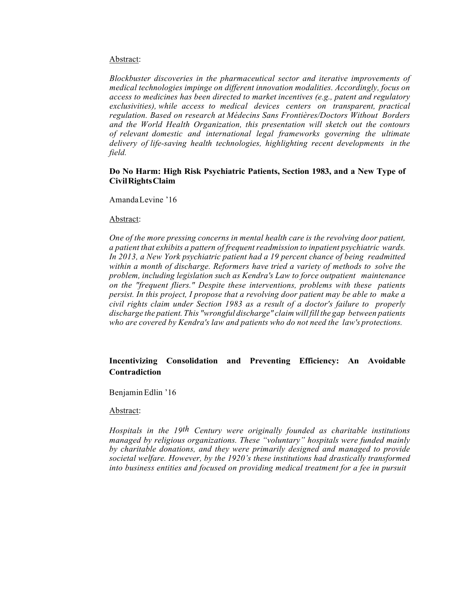#### Abstract:

*Blockbuster discoveries in the pharmaceutical sector and iterative improvements of medical technologies impinge on different innovation modalities. Accordingly, focus on access to medicines has been directed to market incentives (e.g., patent and regulatory exclusivities), while access to medical devices centers on transparent, practical regulation. Based on research at Médecins Sans Frontières/Doctors Without Borders and the World Health Organization, this presentation will sketch out the contours of relevant domestic and international legal frameworks governing the ultimate delivery of life-saving health technologies, highlighting recent developments in the field.*

## **Do No Harm: High Risk Psychiatric Patients, Section 1983, and a New Type of CivilRightsClaim**

AmandaLevine '16

#### Abstract:

*One of the more pressing concerns in mental health care is the revolving door patient, a patient that exhibits a pattern of frequent readmission to inpatient psychiatric wards. In 2013, a New York psychiatric patient had a 19 percent chance of being readmitted within a month of discharge. Reformers have tried a variety of methods to solve the problem, including legislation such as Kendra's Law to force outpatient maintenance on the "frequent fliers." Despite these interventions, problems with these patients persist. In this project, I propose that a revolving door patient may be able to make a civil rights claim under Section 1983 as a result of a doctor's failure to properly discharge the patient. This "wrongful discharge" claim will fill the gap between patients who are covered by Kendra's law and patients who do not need the law's protections.*

# **Incentivizing Consolidation and Preventing Efficiency: An Avoidable Contradiction**

Benjamin Edlin '16

#### Abstract:

*Hospitals in the 19th Century were originally founded as charitable institutions managed by religious organizations. These "voluntary" hospitals were funded mainly by charitable donations, and they were primarily designed and managed to provide societal welfare. However, by the 1920's these institutions had drastically transformed into business entities and focused on providing medical treatment for a fee in pursuit*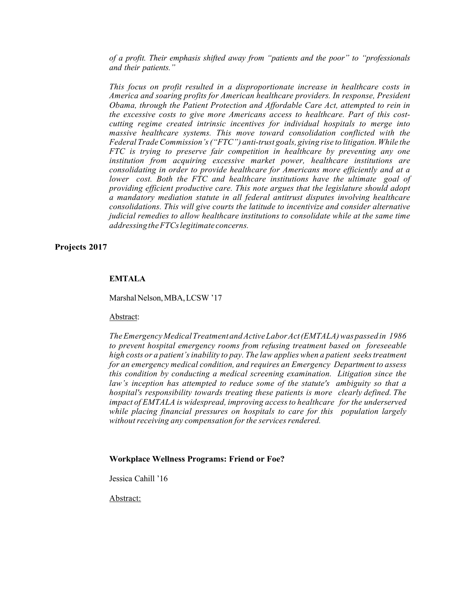*of a profit. Their emphasis shifted away from "patients and the poor" to "professionals and their patients."*

*This focus on profit resulted in a disproportionate increase in healthcare costs in America and soaring profits for American healthcare providers. In response, President Obama, through the Patient Protection and Affordable Care Act, attempted to rein in the excessive costs to give more Americans access to healthcare. Part of this costcutting regime created intrinsic incentives for individual hospitals to merge into massive healthcare systems. This move toward consolidation conflicted with the Federal Trade Commission's("FTC") anti-trust goals, giving rise to litigation. While the FTC is trying to preserve fair competition in healthcare by preventing any one institution from acquiring excessive market power, healthcare institutions are consolidating in order to provide healthcare for Americans more efficiently and at a lower cost. Both the FTC and healthcare institutions have the ultimate goal of providing efficient productive care. This note argues that the legislature should adopt a mandatory mediation statute in all federal antitrust disputes involving healthcare consolidations. This will give courts the latitude to incentivize and consider alternative judicial remedies to allow healthcare institutions to consolidate while at the same time addressing theFTCslegitimate concerns.*

# **Projects 2017**

### **EMTALA**

Marshal Nelson, MBA, LCSW '17

#### Abstract:

*TheEmergencyMedicalTreatment andActiveLaborAct(EMTALA)was passed in 1986 to prevent hospital emergency rooms from refusing treatment based on foreseeable high costs or a patient'sinability to pay. The law applies when a patient seekstreatment for an emergency medical condition, and requires an Emergency Department to assess this condition by conducting a medical screening examination. Litigation since the law's inception has attempted to reduce some of the statute's ambiguity so that a hospital's responsibility towards treating these patients is more clearly defined. The impact of EMTALA is widespread, improving accessto healthcare for the underserved while placing financial pressures on hospitals to care for this population largely without receiving any compensation for the services rendered.*

# **Workplace Wellness Programs: Friend or Foe?**

Jessica Cahill '16

Abstract: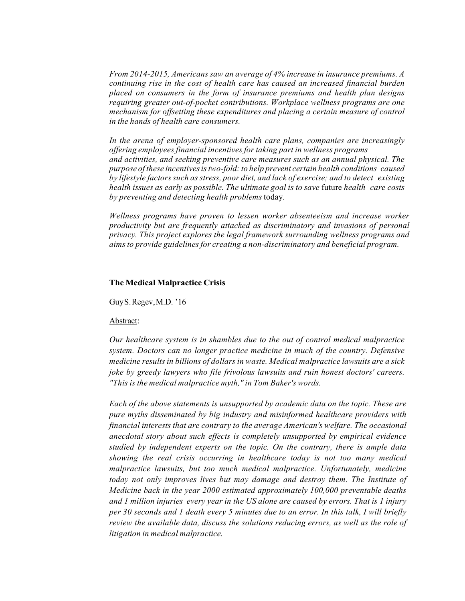*From 2014-2015, Americans saw an average of 4% increase in insurance premiums. A continuing rise in the cost of health care has caused an increased financial burden placed on consumers in the form of insurance premiums and health plan designs requiring greater out-of-pocket contributions. Workplace wellness programs are one mechanism for offsetting these expenditures and placing a certain measure of control in the hands of health care consumers.*

*In the arena of employer-sponsored health care plans, companies are increasingly offering employees financial incentives for taking part in wellness programs and activities, and seeking preventive care measures such as an annual physical. The purpose of these incentives is two-fold: to help prevent certain health conditions caused by lifestyle factors such as stress, poor diet, and lack of exercise; and to detect existing health issues as early as possible. The ultimate goal is to save* future *health care costs by preventing and detecting health problems* today*.*

*Wellness programs have proven to lessen worker absenteeism and increase worker productivity but are frequently attacked as discriminatory and invasions of personal privacy. This project explores the legal framework surrounding wellness programs and aimsto provide guidelinesfor creating a non-discriminatory and beneficial program.*

#### **The Medical Malpractice Crisis**

GuyS.Regev,M.D. '16

#### Abstract:

*Our healthcare system is in shambles due to the out of control medical malpractice system. Doctors can no longer practice medicine in much of the country. Defensive medicine results in billions of dollars in waste. Medical malpractice lawsuits are a sick joke by greedy lawyers who file frivolous lawsuits and ruin honest doctors' careers. "This is the medical malpractice myth," in Tom Baker's words.*

*Each of the above statements is unsupported by academic data on the topic. These are pure myths disseminated by big industry and misinformed healthcare providers with financial interests that are contrary to the average American's welfare. The occasional anecdotal story about such effects is completely unsupported by empirical evidence studied by independent experts on the topic. On the contrary, there is ample data showing the real crisis occurring in healthcare today is not too many medical malpractice lawsuits, but too much medical malpractice. Unfortunately, medicine today not only improves lives but may damage and destroy them. The Institute of Medicine back in the year 2000 estimated approximately 100,000 preventable deaths and 1 million injuries every year in the US alone are caused by errors. That is 1 injury per 30 seconds and 1 death every 5 minutes due to an error. In this talk, I will briefly review the available data, discuss the solutions reducing errors, as well as the role of litigation in medical malpractice.*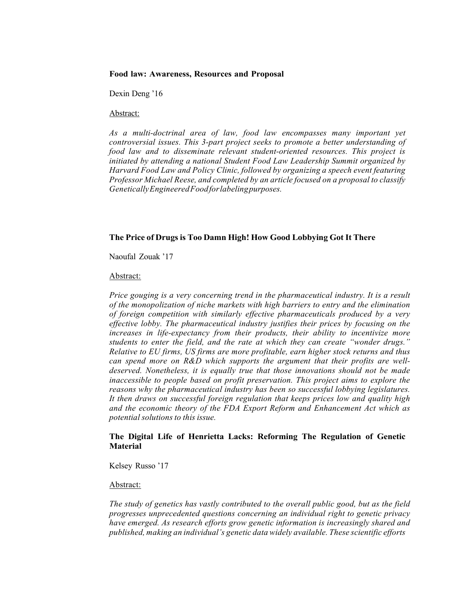### **Food law: Awareness, Resources and Proposal**

Dexin Deng '16

#### Abstract:

*As a multi-doctrinal area of law, food law encompasses many important yet controversial issues. This 3-part project seeks to promote a better understanding of food law and to disseminate relevant student-oriented resources. This project is initiated by attending a national Student Food Law Leadership Summit organized by Harvard Food Law and Policy Clinic, followed by organizing a speech event featuring Professor Michael Reese, and completed by an article focused on a proposal to classify GeneticallyEngineeredFoodforlabelingpurposes.*

# **The Price of Drugsis Too Damn High! How Good Lobbying Got It There**

Naoufal Zouak '17

### Abstract:

*Price gouging is a very concerning trend in the pharmaceutical industry. It is a result of the monopolization of niche markets with high barriers to entry and the elimination of foreign competition with similarly effective pharmaceuticals produced by a very effective lobby. The pharmaceutical industry justifies their prices by focusing on the increases in life-expectancy from their products, their ability to incentivize more students to enter the field, and the rate at which they can create "wonder drugs." Relative to EU firms, US firms are more profitable, earn higher stock returns and thus can spend more on R&D which supports the argument that their profits are welldeserved. Nonetheless, it is equally true that those innovations should not be made inaccessible to people based on profit preservation. This project aims to explore the reasons why the pharmaceutical industry has been so successful lobbying legislatures. It then draws on successful foreign regulation that keeps prices low and quality high and the economic theory of the FDA Export Reform and Enhancement Act which as potential solutions to this issue.*

# **The Digital Life of Henrietta Lacks: Reforming The Regulation of Genetic Material**

Kelsey Russo '17

### Abstract:

*The study of genetics has vastly contributed to the overall public good, but as the field progresses unprecedented questions concerning an individual right to genetic privacy have emerged. As research efforts grow genetic information is increasingly shared and published, making an individual's genetic data widely available. These scientific efforts*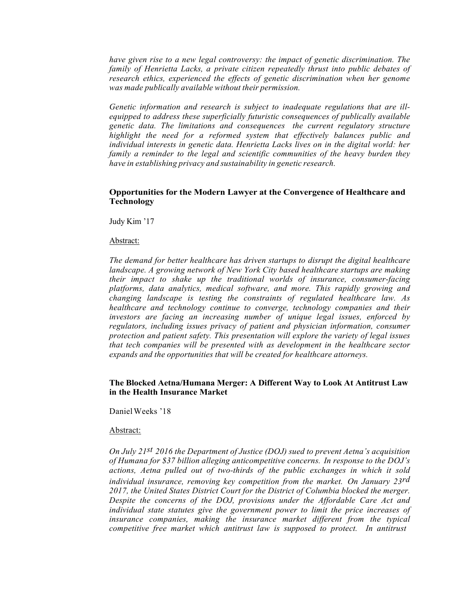*have given rise to a new legal controversy: the impact of genetic discrimination. The family of Henrietta Lacks, a private citizen repeatedly thrust into public debates of research ethics, experienced the effects of genetic discrimination when her genome was made publically available without their permission.*

*Genetic information and research is subject to inadequate regulations that are illequipped to address these superficially futuristic consequences of publically available genetic data. The limitations and consequences the current regulatory structure highlight the need for a reformed system that effectively balances public and individual interests in genetic data. Henrietta Lacks lives on in the digital world: her family a reminder to the legal and scientific communities of the heavy burden they have in establishing privacy and sustainability in genetic research.*

## **Opportunities for the Modern Lawyer at the Convergence of Healthcare and Technology**

Judy Kim '17

### Abstract:

*The demand for better healthcare has driven startups to disrupt the digital healthcare landscape. A growing network of New York City based healthcare startups are making their impact to shake up the traditional worlds of insurance, consumer-facing platforms, data analytics, medical software, and more. This rapidly growing and changing landscape is testing the constraints of regulated healthcare law. As healthcare and technology continue to converge, technology companies and their investors are facing an increasing number of unique legal issues, enforced by regulators, including issues privacy of patient and physician information, consumer protection and patient safety. This presentation will explore the variety of legal issues that tech companies will be presented with as development in the healthcare sector expands and the opportunities that will be created for healthcare attorneys.*

### **The Blocked Aetna/Humana Merger: A Different Way to Look At Antitrust Law in the Health Insurance Market**

DanielWeeks '18

#### Abstract:

*On July 21st 2016 the Department of Justice (DOJ) sued to prevent Aetna's acquisition of Humana for \$37 billion alleging anticompetitive concerns. In response to the DOJ's actions, Aetna pulled out of two-thirds of the public exchanges in which it sold individual insurance, removing key competition from the market. On January 23rd 2017, the United States District Court for the District of Columbia blocked the merger. Despite the concerns of the DOJ, provisions under the Affordable Care Act and individual state statutes give the government power to limit the price increases of insurance companies, making the insurance market different from the typical competitive free market which antitrust law is supposed to protect. In antitrust*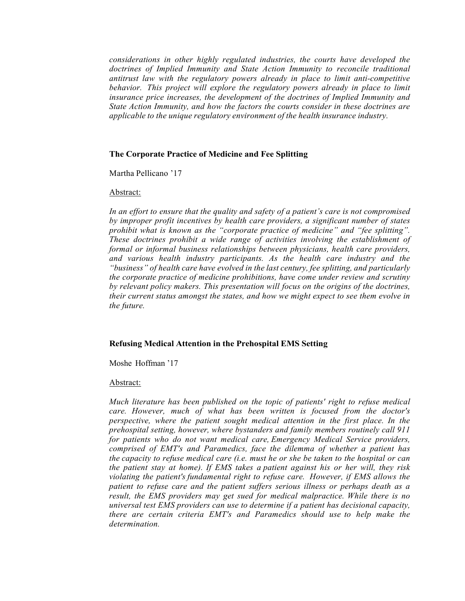*considerations in other highly regulated industries, the courts have developed the doctrines of Implied Immunity and State Action Immunity to reconcile traditional antitrust law with the regulatory powers already in place to limit anti-competitive behavior. This project will explore the regulatory powers already in place to limit insurance price increases, the development of the doctrines of Implied Immunity and State Action Immunity, and how the factors the courts consider in these doctrines are applicable to the unique regulatory environment of the health insurance industry.*

### **The Corporate Practice of Medicine and Fee Splitting**

Martha Pellicano '17

### Abstract:

*In an effort to ensure that the quality and safety of a patient's care is not compromised by improper profit incentives by health care providers, a significant number of states prohibit what is known as the "corporate practice of medicine" and "fee splitting". These doctrines prohibit a wide range of activities involving the establishment of formal or informal business relationships between physicians, health care providers, and various health industry participants. As the health care industry and the "business" of health care have evolved in the last century, fee splitting, and particularly the corporate practice of medicine prohibitions, have come under review and scrutiny by relevant policy makers. This presentation will focus on the origins of the doctrines, their current status amongst the states, and how we might expect to see them evolve in the future.*

# **Refusing Medical Attention in the Prehospital EMS Setting**

Moshe Hoffman '17

# Abstract:

*Much literature has been published on the topic of patients' right to refuse medical care. However, much of what has been written is focused from the doctor's perspective, where the patient sought medical attention in the first place. In the prehospital setting, however, where bystanders and family members routinely call 911 for patients who do not want medical care, Emergency Medical Service providers, comprised of EMT's and Paramedics, face the dilemma of whether a patient has the capacity to refuse medical care (i.e. must he or she be taken to the hospital or can the patient stay at home). If EMS takes a patient against his or her will, they risk violating the patient's fundamental right to refuse care. However, if EMS allows the patient to refuse care and the patient suffers serious illness or perhaps death as a result, the EMS providers may get sued for medical malpractice. While there is no universal test EMS providers can use to determine if a patient has decisional capacity, there are certain criteria EMT's and Paramedics should use to help make the determination.*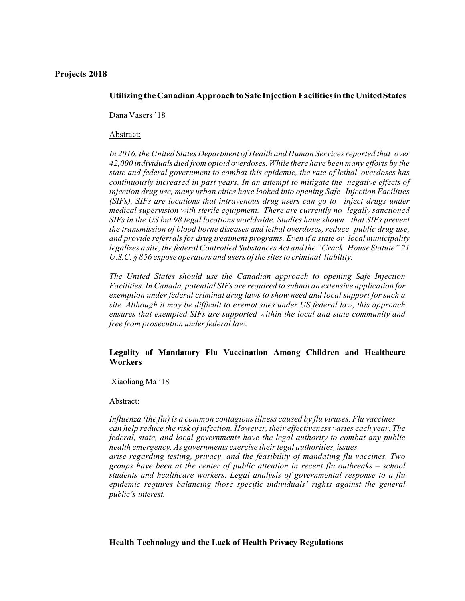### **Projects 2018**

# **UtilizingtheCanadianApproachtoSafe InjectionFacilitiesintheUnitedStates**

Dana Vasers'18

### Abstract:

*In 2016, the United States Department of Health and Human Servicesreported that over 42,000 individuals died from opioid overdoses. While there have been many efforts by the state and federal government to combat this epidemic, the rate of lethal overdoses has continuously increased in past years. In an attempt to mitigate the negative effects of injection drug use, many urban cities have looked into opening Safe Injection Facilities (SIFs). SIFs are locations that intravenous drug users can go to inject drugs under medical supervision with sterile equipment. There are currently no legally sanctioned SIFs in the US but 98 legal locations worldwide. Studies have shown that SIFs prevent the transmission of blood borne diseases and lethal overdoses, reduce public drug use, and provide referrals for drug treatment programs. Even if a state or local municipality legalizes a site, the federalControlled Substances Act and the "Crack House Statute" 21 U.S.C. § 856 expose operators and users of the sitesto criminal liability.*

*The United States should use the Canadian approach to opening Safe Injection Facilities. In Canada, potential SIFs are required to submit an extensive application for exemption under federal criminal drug laws to show need and local support for such a site. Although it may be difficult to exempt sites under US federal law, this approach ensures that exempted SIFs are supported within the local and state community and free from prosecution under federal law.*

# **Legality of Mandatory Flu Vaccination Among Children and Healthcare Workers**

Xiaoliang Ma '18

# Abstract:

*Influenza (the flu) is a common contagiousillness caused by flu viruses. Flu vaccines can help reduce the risk of infection. However, their effectiveness varies each year. The federal, state, and local governments have the legal authority to combat any public health emergency. As governments exercise theirlegal authorities, issues arise regarding testing, privacy, and the feasibility of mandating flu vaccines. Two groups have been at the center of public attention in recent flu outbreaks – school students and healthcare workers. Legal analysis of governmental response to a flu epidemic requires balancing those specific individuals' rights against the general public's interest.*

# **Health Technology and the Lack of Health Privacy Regulations**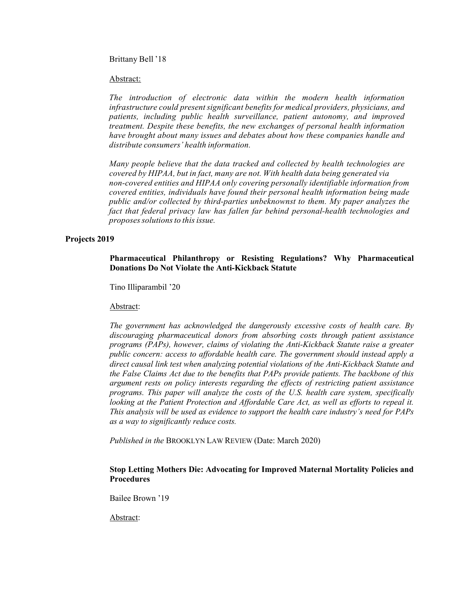### Brittany Bell '18

### Abstract:

*The introduction of electronic data within the modern health information infrastructure could present significant benefits for medical providers, physicians, and patients, including public health surveillance, patient autonomy, and improved treatment. Despite these benefits, the new exchanges of personal health information have brought about many issues and debates about how these companies handle and distribute consumers' health information.*

*Many people believe that the data tracked and collected by health technologies are covered by HIPAA, but in fact, many are not. With health data being generated via non-covered entities and HIPAA only covering personally identifiable information from covered entities, individuals have found their personal health information being made public and/or collected by third-parties unbeknownst to them. My paper analyzes the fact that federal privacy law has fallen far behind personal-health technologies and proposessolutionsto thisissue.*

# **Projects 2019**

# **Pharmaceutical Philanthropy or Resisting Regulations? Why Pharmaceutical Donations Do Not Violate the Anti-Kickback Statute**

Tino Illiparambil '20

#### Abstract:

*The government has acknowledged the dangerously excessive costs of health care. By discouraging pharmaceutical donors from absorbing costs through patient assistance programs (PAPs), however, claims of violating the Anti-Kickback Statute raise a greater public concern: access to affordable health care. The government should instead apply a direct causal link test when analyzing potential violations of the Anti-Kickback Statute and the False Claims Act due to the benefits that PAPs provide patients. The backbone of this argument rests on policy interests regarding the effects of restricting patient assistance programs. This paper will analyze the costs of the U.S. health care system, specifically looking at the Patient Protection and Affordable Care Act, as well as efforts to repeal it. This analysis will be used as evidence to support the health care industry's need for PAPs as a way to significantly reduce costs.*

*Published in the* BROOKLYN LAW REVIEW (Date: March 2020)

### **Stop Letting Mothers Die: Advocating for Improved Maternal Mortality Policies and Procedures**

Bailee Brown '19

Abstract: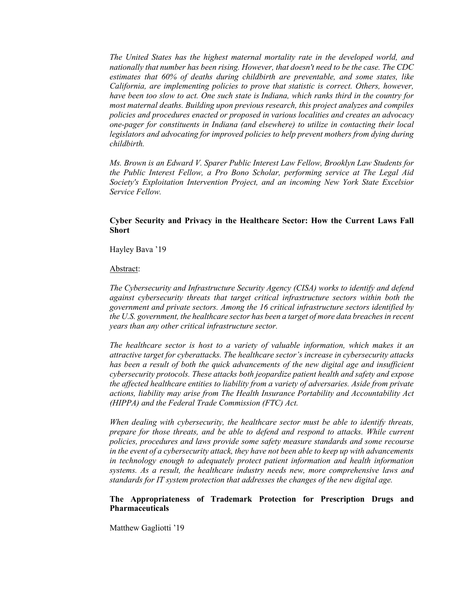*The United States has the highest maternal mortality rate in the developed world, and nationally that number has been rising. However, that doesn't need to be the case. The CDC estimates that 60% of deaths during childbirth are preventable, and some states, like California, are implementing policies to prove that statistic is correct. Others, however, have been too slow to act. One such state is Indiana, which ranks third in the country for most maternal deaths. Building upon previous research, this project analyzes and compiles policies and procedures enacted or proposed in various localities and creates an advocacy one-pager for constituents in Indiana (and elsewhere) to utilize in contacting their local legislators and advocating for improved policies to help prevent mothers from dying during childbirth.*

*Ms. Brown is an Edward V. Sparer Public Interest Law Fellow, Brooklyn Law Students for the Public Interest Fellow, a Pro Bono Scholar, performing service at The Legal Aid Society's Exploitation Intervention Project, and an incoming New York State Excelsior Service Fellow.*

# **Cyber Security and Privacy in the Healthcare Sector: How the Current Laws Fall Short**

Hayley Bava '19

#### Abstract:

*The Cybersecurity and Infrastructure Security Agency (CISA) works to identify and defend against cybersecurity threats that target critical infrastructure sectors within both the government and private sectors. Among the 16 critical infrastructure sectors identified by the U.S. government, the healthcare sector has been a target of more data breaches in recent years than any other critical infrastructure sector.* 

*The healthcare sector is host to a variety of valuable information, which makes it an attractive target for cyberattacks. The healthcare sector's increase in cybersecurity attacks has been a result of both the quick advancements of the new digital age and insufficient cybersecurity protocols. These attacks both jeopardize patient health and safety and expose the affected healthcare entities to liability from a variety of adversaries. Aside from private actions, liability may arise from The Health Insurance Portability and Accountability Act (HIPPA) and the Federal Trade Commission (FTC) Act.* 

*When dealing with cybersecurity, the healthcare sector must be able to identify threats, prepare for those threats, and be able to defend and respond to attacks. While current policies, procedures and laws provide some safety measure standards and some recourse in the event of a cybersecurity attack, they have not been able to keep up with advancements in technology enough to adequately protect patient information and health information systems. As a result, the healthcare industry needs new, more comprehensive laws and standards for IT system protection that addresses the changes of the new digital age.* 

#### **The Appropriateness of Trademark Protection for Prescription Drugs and Pharmaceuticals**

Matthew Gagliotti '19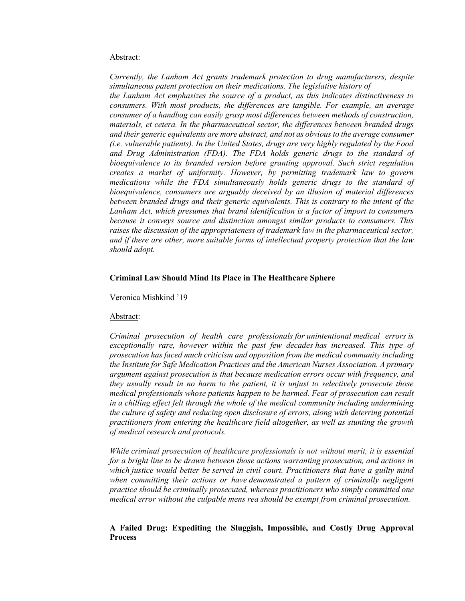#### Abstract:

*Currently, the Lanham Act grants trademark protection to drug manufacturers, despite simultaneous patent protection on their medications. The legislative history of the Lanham Act emphasizes the source of a product, as this indicates distinctiveness to consumers. With most products, the differences are tangible. For example, an average consumer of a handbag can easily grasp most differences between methods of construction, materials, et cetera. In the pharmaceutical sector, the differences between branded drugs and their generic equivalents are more abstract, and not as obvious to the average consumer (i.e. vulnerable patients). In the United States, drugs are very highly regulated by the Food*  and Drug Administration (FDA). The FDA holds generic drugs to the standard of *bioequivalence to its branded version before granting approval. Such strict regulation creates a market of uniformity. However, by permitting trademark law to govern medications while the FDA simultaneously holds generic drugs to the standard of bioequivalence, consumers are arguably deceived by an illusion of material differences between branded drugs and their generic equivalents. This is contrary to the intent of the Lanham Act, which presumes that brand identification is a factor of import to consumers because it conveys source and distinction amongst similar products to consumers. This raises the discussion of the appropriateness of trademark law in the pharmaceutical sector, and if there are other, more suitable forms of intellectual property protection that the law should adopt.* 

#### **Criminal Law Should Mind Its Place in The Healthcare Sphere**

Veronica Mishkind '19

#### Abstract:

*Criminal prosecution of health care professionals for unintentional medical errors is exceptionally rare, however within the past few decades has increased. This type of prosecution has faced much criticism and opposition from the medical community including the Institute for Safe Medication Practices and the American Nurses Association. A primary argument against prosecution is that because medication errors occur with frequency, and they usually result in no harm to the patient, it is unjust to selectively prosecute those medical professionals whose patients happen to be harmed. Fear of prosecution can result in a chilling effect felt through the whole of the medical community including undermining the culture of safety and reducing open disclosure of errors, along with deterring potential practitioners from entering the healthcare field altogether, as well as stunting the growth of medical research and protocols.*

*While criminal prosecution of healthcare professionals is not without merit, it is essential for a bright line to be drawn between those actions warranting prosecution, and actions in which justice would better be served in civil court. Practitioners that have a guilty mind when committing their actions or have demonstrated a pattern of criminally negligent practice should be criminally prosecuted, whereas practitioners who simply committed one medical error without the culpable mens rea should be exempt from criminal prosecution.*

# **A Failed Drug: Expediting the Sluggish, Impossible, and Costly Drug Approval Process**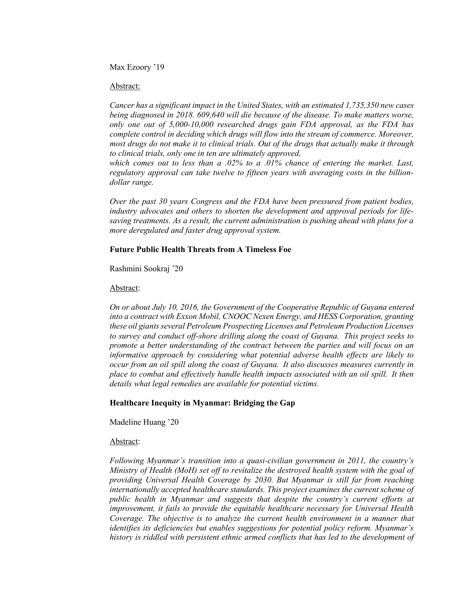Max Ezoory '19

#### Abstract:

*Cancer has a significant impact in the United States, with an estimated 1,735,350 new cases being diagnosed in 2018. 609,640 will die because of the disease. To make matters worse, only one out of 5,000-10,000 researched drugs gain FDA approval, as the FDA has complete control in deciding which drugs will flow into the stream of commerce. Moreover, most drugs do not make it to clinical trials. Out of the drugs that actually make it through to clinical trials, only one in ten are ultimately approved,* 

*which comes out to less than a .02% to a .01% chance of entering the market. Last, regulatory approval can take twelve to fifteen years with averaging costs in the billiondollar range.*

*Over the past 30 years Congress and the FDA have been pressured from patient bodies, industry advocates and others to shorten the development and approval periods for lifesaving treatments. As a result, the current administration is pushing ahead with plans for a more deregulated and faster drug approval system.*

### **Future Public Health Threats from A Timeless Foe**

Rashmini Sookraj '20

### Abstract:

*On or about July 10, 2016, the Government of the Cooperative Republic of Guyana entered into a contract with Exxon Mobil, CNOOC Nexen Energy, and HESS Corporation, granting these oil giants several Petroleum Prospecting Licenses and Petroleum Production Licenses to survey and conduct off-shore drilling along the coast of Guyana. This project seeks to promote a better understanding of the contract between the parties and will focus on an informative approach by considering what potential adverse health effects are likely to occur from an oil spill along the coast of Guyana. It also discusses measures currently in place to combat and effectively handle health impacts associated with an oil spill. It then details what legal remedies are available for potential victims.*

# **Healthcare Inequity in Myanmar: Bridging the Gap**

Madeline Huang '20

#### Abstract:

*Following Myanmar's transition into a quasi-civilian government in 2011, the country's Ministry of Health (MoH) set off to revitalize the destroyed health system with the goal of providing Universal Health Coverage by 2030. But Myanmar is still far from reaching internationally accepted healthcare standards. This project examines the current scheme of public health in Myanmar and suggests that despite the country's current efforts at improvement, it fails to provide the equitable healthcare necessary for Universal Health Coverage. The objective is to analyze the current health environment in a manner that identifies its deficiencies but enables suggestions for potential policy reform. Myanmar's history is riddled with persistent ethnic armed conflicts that has led to the development of*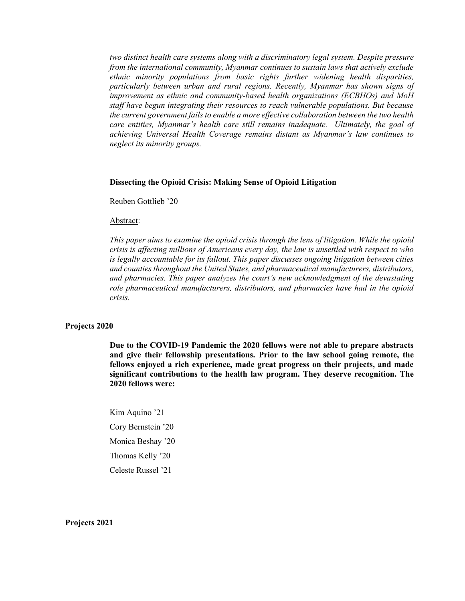*two distinct health care systems along with a discriminatory legal system. Despite pressure from the international community, Myanmar continues to sustain laws that actively exclude ethnic minority populations from basic rights further widening health disparities, particularly between urban and rural regions. Recently, Myanmar has shown signs of improvement as ethnic and community-based health organizations (ECBHOs) and MoH staff have begun integrating their resources to reach vulnerable populations. But because the current government fails to enable a more effective collaboration between the two health care entities, Myanmar's health care still remains inadequate. Ultimately, the goal of achieving Universal Health Coverage remains distant as Myanmar's law continues to neglect its minority groups.* 

#### **Dissecting the Opioid Crisis: Making Sense of Opioid Litigation**

Reuben Gottlieb '20

#### Abstract:

*This paper aims to examine the opioid crisis through the lens of litigation. While the opioid crisis is affecting millions of Americans every day, the law is unsettled with respect to who is legally accountable for its fallout. This paper discusses ongoing litigation between cities and counties throughout the United States, and pharmaceutical manufacturers, distributors, and pharmacies. This paper analyzes the court's new acknowledgment of the devastating role pharmaceutical manufacturers, distributors, and pharmacies have had in the opioid crisis.*

#### **Projects 2020**

**Due to the COVID-19 Pandemic the 2020 fellows were not able to prepare abstracts and give their fellowship presentations. Prior to the law school going remote, the fellows enjoyed a rich experience, made great progress on their projects, and made significant contributions to the health law program. They deserve recognition. The 2020 fellows were:** 

Kim Aquino '21 Cory Bernstein '20 Monica Beshay '20 Thomas Kelly '20 Celeste Russel '21

**Projects 2021**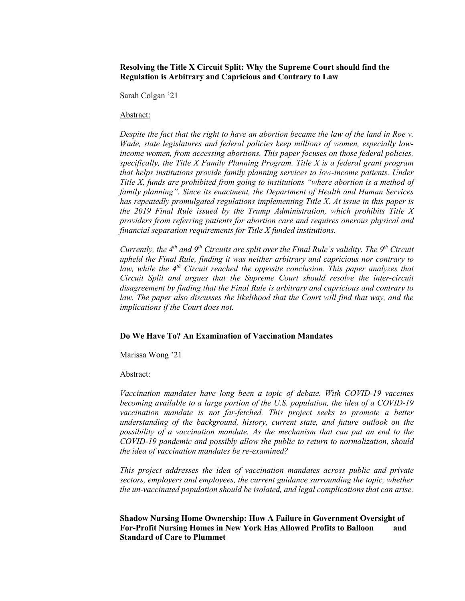**Resolving the Title X Circuit Split: Why the Supreme Court should find the Regulation is Arbitrary and Capricious and Contrary to Law**

Sarah Colgan '21

#### Abstract:

*Despite the fact that the right to have an abortion became the law of the land in Roe v. Wade, state legislatures and federal policies keep millions of women, especially lowincome women, from accessing abortions. This paper focuses on those federal policies, specifically, the Title X Family Planning Program. Title X is a federal grant program that helps institutions provide family planning services to low-income patients. Under Title X, funds are prohibited from going to institutions "where abortion is a method of family planning". Since its enactment, the Department of Health and Human Services has repeatedly promulgated regulations implementing Title X. At issue in this paper is the 2019 Final Rule issued by the Trump Administration, which prohibits Title X providers from referring patients for abortion care and requires onerous physical and financial separation requirements for Title X funded institutions.* 

*Currently, the 4<sup>th</sup> and 9<sup>th</sup> Circuits are split over the Final Rule's validity. The 9<sup>th</sup> Circuit upheld the Final Rule, finding it was neither arbitrary and capricious nor contrary to*  law, while the 4<sup>th</sup> Circuit reached the opposite conclusion. This paper analyzes that *Circuit Split and argues that the Supreme Court should resolve the inter-circuit disagreement by finding that the Final Rule is arbitrary and capricious and contrary to*  law. The paper also discusses the likelihood that the Court will find that way, and the *implications if the Court does not.* 

#### **Do We Have To? An Examination of Vaccination Mandates**

Marissa Wong '21

#### Abstract:

*Vaccination mandates have long been a topic of debate. With COVID-19 vaccines becoming available to a large portion of the U.S. population, the idea of a COVID-19*  vaccination mandate is not far-fetched. This project seeks to promote a better *understanding of the background, history, current state, and future outlook on the possibility of a vaccination mandate. As the mechanism that can put an end to the COVID-19 pandemic and possibly allow the public to return to normalization, should the idea of vaccination mandates be re-examined?*

*This project addresses the idea of vaccination mandates across public and private sectors, employers and employees, the current guidance surrounding the topic, whether the un-vaccinated population should be isolated, and legal complications that can arise.*

**Shadow Nursing Home Ownership: How A Failure in Government Oversight of For-Profit Nursing Homes in New York Has Allowed Profits to Balloon and Standard of Care to Plummet**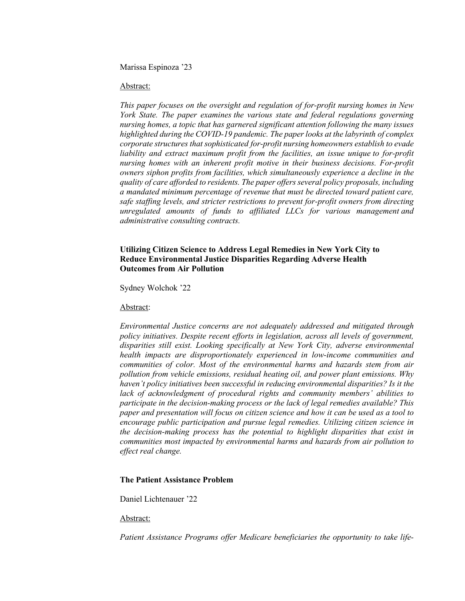#### Marissa Espinoza '23

#### Abstract:

*This paper focuses on the oversight and regulation of for-profit nursing homes in New York State. The paper examines the various state and federal regulations governing nursing homes, a topic that has garnered significant attention following the many issues highlighted during the COVID-19 pandemic. The paper looks at the labyrinth of complex corporate structures that sophisticated for-profit nursing homeowners establish to evade liability and extract maximum profit from the facilities, an issue unique to for-profit nursing homes with an inherent profit motive in their business decisions. For-profit owners siphon profits from facilities, which simultaneously experience a decline in the quality of care afforded to residents. The paper offers several policy proposals, including a mandated minimum percentage of revenue that must be directed toward patient care, safe staffing levels, and stricter restrictions to prevent for-profit owners from directing unregulated amounts of funds to affiliated LLCs for various management and administrative consulting contracts.*

# **Utilizing Citizen Science to Address Legal Remedies in New York City to Reduce Environmental Justice Disparities Regarding Adverse Health Outcomes from Air Pollution**

Sydney Wolchok '22

#### Abstract:

*Environmental Justice concerns are not adequately addressed and mitigated through policy initiatives. Despite recent efforts in legislation, across all levels of government, disparities still exist. Looking specifically at New York City, adverse environmental health impacts are disproportionately experienced in low-income communities and communities of color. Most of the environmental harms and hazards stem from air pollution from vehicle emissions, residual heating oil, and power plant emissions. Why haven't policy initiatives been successful in reducing environmental disparities? Is it the lack of acknowledgment of procedural rights and community members' abilities to participate in the decision-making process or the lack of legal remedies available? This paper and presentation will focus on citizen science and how it can be used as a tool to encourage public participation and pursue legal remedies. Utilizing citizen science in the decision-making process has the potential to highlight disparities that exist in communities most impacted by environmental harms and hazards from air pollution to effect real change.*

### **The Patient Assistance Problem**

Daniel Lichtenauer '22

#### Abstract:

*Patient Assistance Programs offer Medicare beneficiaries the opportunity to take life-*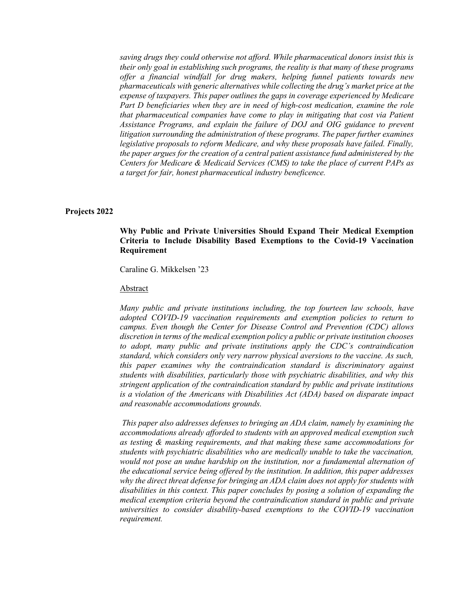*saving drugs they could otherwise not afford. While pharmaceutical donors insist this is their only goal in establishing such programs, the reality is that many of these programs offer a financial windfall for drug makers, helping funnel patients towards new pharmaceuticals with generic alternatives while collecting the drug's market price at the expense of taxpayers. This paper outlines the gaps in coverage experienced by Medicare Part D beneficiaries when they are in need of high-cost medication, examine the role that pharmaceutical companies have come to play in mitigating that cost via Patient Assistance Programs, and explain the failure of DOJ and OIG guidance to prevent litigation surrounding the administration of these programs. The paper further examines legislative proposals to reform Medicare, and why these proposals have failed. Finally, the paper argues for the creation of a central patient assistance fund administered by the Centers for Medicare & Medicaid Services (CMS) to take the place of current PAPs as a target for fair, honest pharmaceutical industry beneficence.*

#### **Projects 2022**

## **Why Public and Private Universities Should Expand Their Medical Exemption Criteria to Include Disability Based Exemptions to the Covid-19 Vaccination Requirement**

Caraline G. Mikkelsen '23

Abstract

*Many public and private institutions including, the top fourteen law schools, have adopted COVID-19 vaccination requirements and exemption policies to return to campus. Even though the Center for Disease Control and Prevention (CDC) allows discretion in terms of the medical exemption policy a public or private institution chooses to adopt, many public and private institutions apply the CDC's contraindication standard, which considers only very narrow physical aversions to the vaccine. As such, this paper examines why the contraindication standard is discriminatory against students with disabilities, particularly those with psychiatric disabilities, and why this stringent application of the contraindication standard by public and private institutions is a violation of the Americans with Disabilities Act (ADA) based on disparate impact and reasonable accommodations grounds.* 

*This paper also addresses defenses to bringing an ADA claim, namely by examining the accommodations already afforded to students with an approved medical exemption such as testing & masking requirements, and that making these same accommodations for students with psychiatric disabilities who are medically unable to take the vaccination, would not pose an undue hardship on the institution, nor a fundamental alternation of the educational service being offered by the institution. In addition, this paper addresses why the direct threat defense for bringing an ADA claim does not apply for students with disabilities in this context. This paper concludes by posing a solution of expanding the medical exemption criteria beyond the contraindication standard in public and private universities to consider disability-based exemptions to the COVID-19 vaccination requirement.*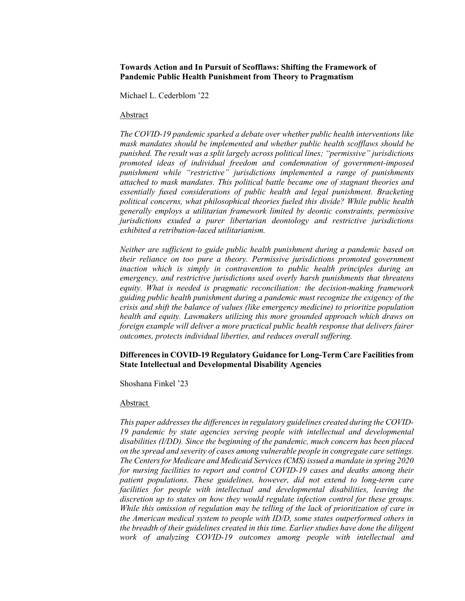### **Towards Action and In Pursuit of Scofflaws: Shifting the Framework of Pandemic Public Health Punishment from Theory to Pragmatism**

Michael L. Cederblom '22

#### Abstract

*The COVID-19 pandemic sparked a debate over whether public health interventions like mask mandates should be implemented and whether public health scofflaws should be punished. The result was a split largely across political lines; "permissive" jurisdictions promoted ideas of individual freedom and condemnation of government-imposed punishment while "restrictive" jurisdictions implemented a range of punishments attached to mask mandates. This political battle became one of stagnant theories and essentially fused considerations of public health and legal punishment. Bracketing political concerns, what philosophical theories fueled this divide? While public health generally employs a utilitarian framework limited by deontic constraints, permissive jurisdictions exuded a purer libertarian deontology and restrictive jurisdictions exhibited a retribution-laced utilitarianism.* 

*Neither are sufficient to guide public health punishment during a pandemic based on their reliance on too pure a theory. Permissive jurisdictions promoted government inaction which is simply in contravention to public health principles during an emergency, and restrictive jurisdictions used overly harsh punishments that threatens equity. What is needed is pragmatic reconciliation: the decision-making framework guiding public health punishment during a pandemic must recognize the exigency of the crisis and shift the balance of values (like emergency medicine) to prioritize population health and equity. Lawmakers utilizing this more grounded approach which draws on foreign example will deliver a more practical public health response that delivers fairer outcomes, protects individual liberties, and reduces overall suffering.*

### **Differences in COVID-19 Regulatory Guidance for Long-Term Care Facilities from State Intellectual and Developmental Disability Agencies**

Shoshana Finkel '23

#### Abstract

*This paper addresses the differences in regulatory guidelines created during the COVID-19 pandemic by state agencies serving people with intellectual and developmental disabilities (I/DD). Since the beginning of the pandemic, much concern has been placed on the spread and severity of cases among vulnerable people in congregate care settings. The Centers for Medicare and Medicaid Services (CMS) issued a mandate in spring 2020 for nursing facilities to report and control COVID-19 cases and deaths among their patient populations. These guidelines, however, did not extend to long-term care facilities for people with intellectual and developmental disabilities, leaving the discretion up to states on how they would regulate infection control for these groups. While this omission of regulation may be telling of the lack of prioritization of care in the American medical system to people with ID/D, some states outperformed others in the breadth of their guidelines created in this time. Earlier studies have done the diligent work of analyzing COVID-19 outcomes among people with intellectual and*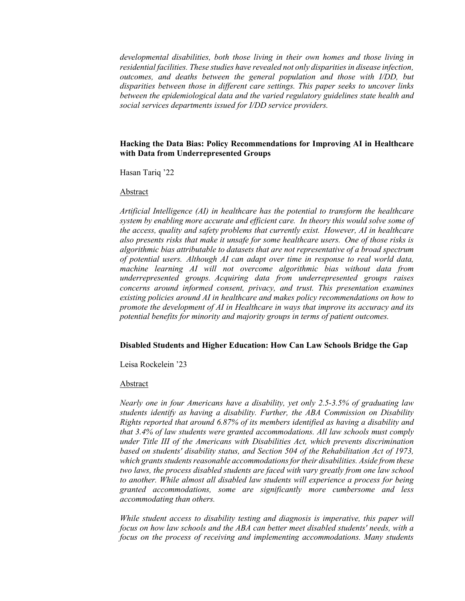*developmental disabilities, both those living in their own homes and those living in residential facilities. These studies have revealed not only disparities in disease infection, outcomes, and deaths between the general population and those with I/DD, but disparities between those in different care settings. This paper seeks to uncover links between the epidemiological data and the varied regulatory guidelines state health and social services departments issued for I/DD service providers.* 

## **Hacking the Data Bias: Policy Recommendations for Improving AI in Healthcare with Data from Underrepresented Groups**

Hasan Tariq '22

# Abstract

*Artificial Intelligence (AI) in healthcare has the potential to transform the healthcare system by enabling more accurate and efficient care. In theory this would solve some of the access, quality and safety problems that currently exist. However, AI in healthcare also presents risks that make it unsafe for some healthcare users. One of those risks is algorithmic bias attributable to datasets that are not representative of a broad spectrum of potential users. Although AI can adapt over time in response to real world data, machine learning AI will not overcome algorithmic bias without data from underrepresented groups. Acquiring data from underrepresented groups raises concerns around informed consent, privacy, and trust. This presentation examines existing policies around AI in healthcare and makes policy recommendations on how to promote the development of AI in Healthcare in ways that improve its accuracy and its potential benefits for minority and majority groups in terms of patient outcomes.*

# **Disabled Students and Higher Education: How Can Law Schools Bridge the Gap**

Leisa Rockelein '23

#### Abstract

*Nearly one in four Americans have a disability, yet only 2.5-3.5% of graduating law students identify as having a disability. Further, the ABA Commission on Disability Rights reported that around 6.87% of its members identified as having a disability and that 3.4% of law students were granted accommodations. All law schools must comply under Title III of the Americans with Disabilities Act, which prevents discrimination based on students' disability status, and Section 504 of the Rehabilitation Act of 1973, which grants students reasonable accommodations for their disabilities. Aside from these two laws, the process disabled students are faced with vary greatly from one law school to another. While almost all disabled law students will experience a process for being granted accommodations, some are significantly more cumbersome and less accommodating than others.*

*While student access to disability testing and diagnosis is imperative, this paper will focus on how law schools and the ABA can better meet disabled students' needs, with a focus on the process of receiving and implementing accommodations. Many students*